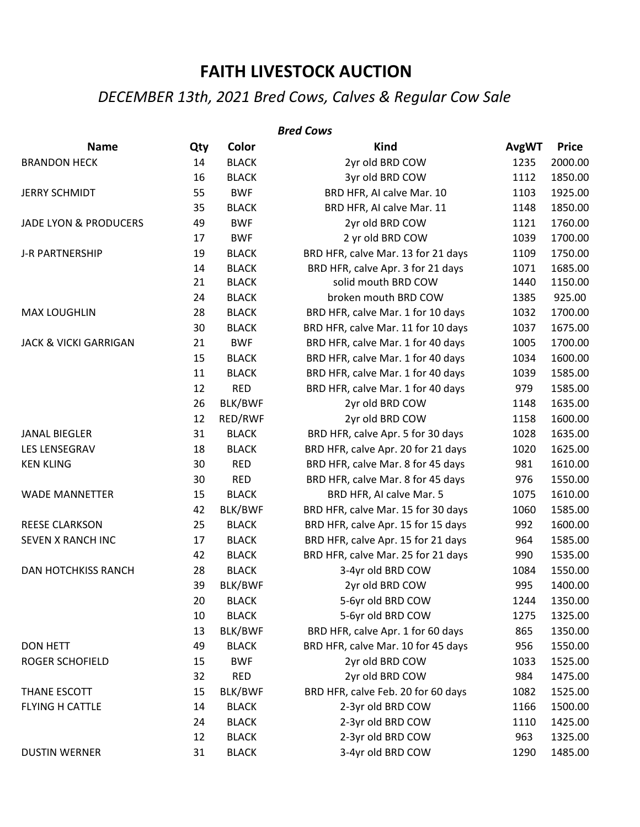## **FAITH LIVESTOCK AUCTION**

## *DECEMBER 13th, 2021 Bred Cows, Calves & Regular Cow Sale*

## **Name Qty Color Kind AvgWT Price** BRANDON HECK 14 BLACK 2yr old BRD COW 1235 2000.00 16 BLACK 3yr old BRD COW 1112 1850.00 JERRY SCHMIDT 55 BWF BRD HFR, AI calve Mar. 10 1103 1925.00 35 BLACK BRD HFR, AI calve Mar. 11 1148 1850.00 JADE LYON & PRODUCERS 49 BWF 2yr old BRD COW 1121 1760.00 17 BWF 2 yr old BRD COW 1039 1700.00 J-R PARTNERSHIP 19 BLACK BRD HFR, calve Mar. 13 for 21 days 1109 1750.00 14 BLACK BRD HFR, calve Apr. 3 for 21 days 1071 1685.00 21 BLACK solid mouth BRD COW 1440 1150.00 24 BLACK broken mouth BRD COW 1385 925.00 MAX LOUGHLIN 28 BLACK BRD HFR, calve Mar. 1 for 10 days 1032 1700.00 30 BLACK BRD HFR, calve Mar. 11 for 10 days 1037 1675.00 JACK & VICKI GARRIGAN 21 BWF BRD HFR, calve Mar. 1 for 40 days 1005 1700.00 15 BLACK BRD HFR, calve Mar. 1 for 40 days 1034 1600.00 11 BLACK BRD HFR, calve Mar. 1 for 40 days 1039 1585.00 12 RED BRD HFR, calve Mar. 1 for 40 days 979 1585.00 26 BLK/BWF 2yr old BRD COW 1148 1635.00 12 RED/RWF 2yr old BRD COW 1158 1600.00 JANAL BIEGLER 31 BLACK BRD HFR, calve Apr. 5 for 30 days 1028 1635.00 LES LENSEGRAV 18 20 18 BLACK BRD HFR, calve Apr. 20 for 21 days 1020 1625.00 KEN KLING **80 RED** BRD HFR, calve Mar. 8 for 45 days 981 1610.00 30 RED BRD HFR, calve Mar. 8 for 45 days 976 1550.00 WADE MANNETTER **15 BLACK** BRD HFR, AI calve Mar. 5 1075 1610.00 42 BLK/BWF BRD HFR, calve Mar. 15 for 30 days 1060 1585.00 *Bred Cows*

REESE CLARKSON 25 BLACK BRD HFR, calve Apr. 15 for 15 days 992 1600.00 SEVEN X RANCH INC **17** BLACK BRD HFR, calve Apr. 15 for 21 days 964 1585.00 42 BLACK BRD HFR, calve Mar. 25 for 21 days 990 1535.00 DAN HOTCHKISS RANCH 28 BLACK 3-4yr old BRD COW 1084 1550.00 39 BLK/BWF 2yr old BRD COW 995 1400.00 20 BLACK 5-6yr old BRD COW 1244 1350.00 10 BLACK 5-6yr old BRD COW 1275 1325.00 13 BLK/BWF BRD HFR, calve Apr. 1 for 60 days 865 1350.00 DON HETT As a control of the BLACK BRD HFR, calve Mar. 10 for 45 days a set of the 1550.00 ROGER SCHOFIELD 15 BWF 2yr old BRD COW 1033 1525.00 32 RED 2yr old BRD COW 984 1475.00 THANE ESCOTT 15 BLK/BWF BRD HFR, calve Feb. 20 for 60 days 1082 1525.00 FLYING H CATTLE **14 BLACK** 2-3yr old BRD COW 1166 1500.00 24 BLACK 2-3yr old BRD COW 1110 1425.00 12 BLACK 2-3yr old BRD COW 963 1325.00 DUSTIN WERNER 31 BLACK 3-4yr old BRD COW 1290 1485.00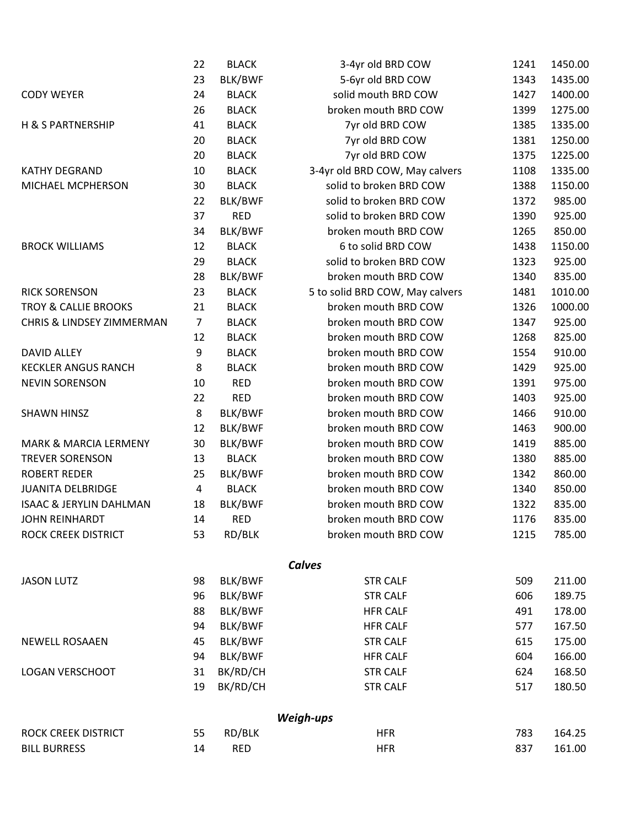|                                    | 22             | <b>BLACK</b> | 3-4yr old BRD COW               | 1241 | 1450.00 |
|------------------------------------|----------------|--------------|---------------------------------|------|---------|
|                                    | 23             | BLK/BWF      | 5-6yr old BRD COW               | 1343 | 1435.00 |
| <b>CODY WEYER</b>                  | 24             | <b>BLACK</b> | solid mouth BRD COW             | 1427 | 1400.00 |
|                                    | 26             | <b>BLACK</b> | broken mouth BRD COW            | 1399 | 1275.00 |
| H & S PARTNERSHIP                  | 41             | <b>BLACK</b> | 7yr old BRD COW                 | 1385 | 1335.00 |
|                                    | 20             | <b>BLACK</b> | 7yr old BRD COW                 | 1381 | 1250.00 |
|                                    | 20             | <b>BLACK</b> | 7yr old BRD COW                 | 1375 | 1225.00 |
| KATHY DEGRAND                      | 10             | <b>BLACK</b> | 3-4yr old BRD COW, May calvers  | 1108 | 1335.00 |
| MICHAEL MCPHERSON                  | 30             | <b>BLACK</b> | solid to broken BRD COW         | 1388 | 1150.00 |
|                                    | 22             | BLK/BWF      | solid to broken BRD COW         | 1372 | 985.00  |
|                                    | 37             | <b>RED</b>   | solid to broken BRD COW         | 1390 | 925.00  |
|                                    | 34             | BLK/BWF      | broken mouth BRD COW            | 1265 | 850.00  |
| <b>BROCK WILLIAMS</b>              | 12             | <b>BLACK</b> | 6 to solid BRD COW              | 1438 | 1150.00 |
|                                    | 29             | <b>BLACK</b> | solid to broken BRD COW         | 1323 | 925.00  |
|                                    | 28             | BLK/BWF      | broken mouth BRD COW            | 1340 | 835.00  |
| <b>RICK SORENSON</b>               | 23             | <b>BLACK</b> | 5 to solid BRD COW, May calvers | 1481 | 1010.00 |
| <b>TROY &amp; CALLIE BROOKS</b>    | 21             | <b>BLACK</b> | broken mouth BRD COW<br>1326    |      | 1000.00 |
| CHRIS & LINDSEY ZIMMERMAN          | 7              | <b>BLACK</b> | broken mouth BRD COW            | 1347 | 925.00  |
|                                    | 12             | <b>BLACK</b> | broken mouth BRD COW            | 1268 | 825.00  |
| <b>DAVID ALLEY</b>                 | 9              | <b>BLACK</b> | broken mouth BRD COW            | 1554 | 910.00  |
| <b>KECKLER ANGUS RANCH</b>         | 8              | <b>BLACK</b> | broken mouth BRD COW            | 1429 | 925.00  |
| <b>NEVIN SORENSON</b>              | 10             | <b>RED</b>   | broken mouth BRD COW            | 1391 | 975.00  |
|                                    | 22             | <b>RED</b>   | broken mouth BRD COW            | 1403 | 925.00  |
| <b>SHAWN HINSZ</b>                 | 8              | BLK/BWF      | broken mouth BRD COW            | 1466 | 910.00  |
|                                    | 12             | BLK/BWF      | broken mouth BRD COW            | 1463 | 900.00  |
| <b>MARK &amp; MARCIA LERMENY</b>   | 30             | BLK/BWF      | broken mouth BRD COW            | 1419 | 885.00  |
| <b>TREVER SORENSON</b>             | 13             | <b>BLACK</b> | broken mouth BRD COW            | 1380 | 885.00  |
| <b>ROBERT REDER</b>                | 25             | BLK/BWF      | broken mouth BRD COW            |      | 860.00  |
| <b>JUANITA DELBRIDGE</b>           | $\overline{4}$ | <b>BLACK</b> | broken mouth BRD COW            |      | 850.00  |
| <b>ISAAC &amp; JERYLIN DAHLMAN</b> | 18             | BLK/BWF      | broken mouth BRD COW            |      | 835.00  |
| <b>JOHN REINHARDT</b>              | 14             | <b>RED</b>   | 1176<br>broken mouth BRD COW    |      | 835.00  |
| ROCK CREEK DISTRICT                | 53             | RD/BLK       | broken mouth BRD COW            | 1215 | 785.00  |
|                                    |                |              | <b>Calves</b>                   |      |         |
| <b>JASON LUTZ</b>                  | 98             | BLK/BWF      | <b>STR CALF</b>                 | 509  | 211.00  |
|                                    | 96             | BLK/BWF      | <b>STR CALF</b>                 | 606  | 189.75  |
|                                    | 88             | BLK/BWF      | <b>HFR CALF</b>                 | 491  | 178.00  |
|                                    | 94             | BLK/BWF      | <b>HFR CALF</b>                 | 577  | 167.50  |
| <b>NEWELL ROSAAEN</b>              | 45             | BLK/BWF      | <b>STR CALF</b>                 | 615  | 175.00  |
|                                    | 94             | BLK/BWF      | <b>HFR CALF</b>                 | 604  | 166.00  |
| LOGAN VERSCHOOT                    | 31             | BK/RD/CH     | <b>STR CALF</b>                 | 624  | 168.50  |
|                                    | 19             | BK/RD/CH     | <b>STR CALF</b>                 | 517  | 180.50  |
|                                    |                |              | Weigh-ups                       |      |         |
| ROCK CREEK DISTRICT                | 55             | RD/BLK       | <b>HFR</b>                      | 783  | 164.25  |
| <b>BILL BURRESS</b>                | 14             | <b>RED</b>   | <b>HFR</b>                      | 837  | 161.00  |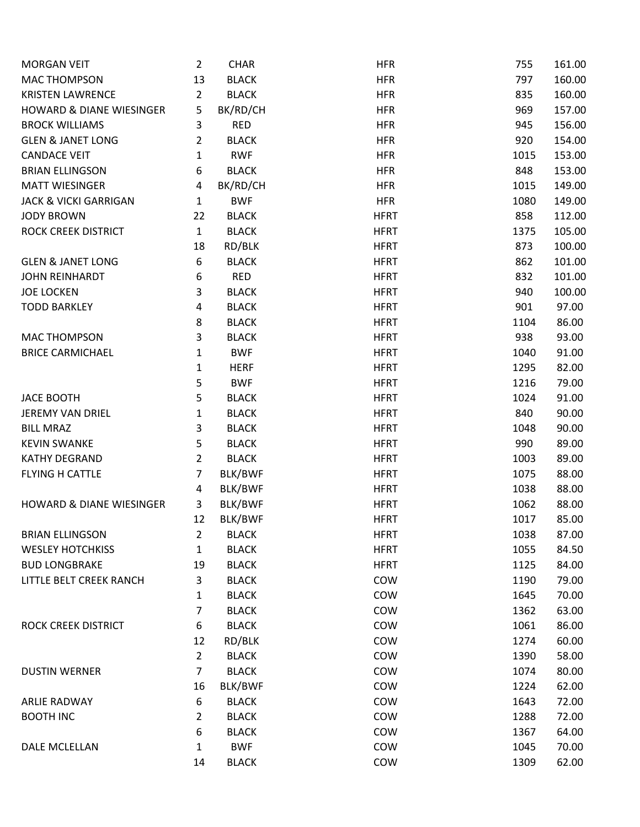| <b>MORGAN VEIT</b>                  | $\overline{2}$ | <b>CHAR</b>    | <b>HFR</b>  | 755  | 161.00 |
|-------------------------------------|----------------|----------------|-------------|------|--------|
| <b>MAC THOMPSON</b>                 | 13             | <b>BLACK</b>   | <b>HFR</b>  | 797  | 160.00 |
| <b>KRISTEN LAWRENCE</b>             | $\overline{2}$ | <b>BLACK</b>   | <b>HFR</b>  | 835  | 160.00 |
| <b>HOWARD &amp; DIANE WIESINGER</b> | 5              | BK/RD/CH       | <b>HFR</b>  | 969  | 157.00 |
| <b>BROCK WILLIAMS</b>               | 3              | <b>RED</b>     | <b>HFR</b>  | 945  | 156.00 |
| <b>GLEN &amp; JANET LONG</b>        | $\overline{2}$ | <b>BLACK</b>   | <b>HFR</b>  | 920  | 154.00 |
| <b>CANDACE VEIT</b>                 | $\mathbf{1}$   | <b>RWF</b>     | <b>HFR</b>  | 1015 | 153.00 |
| <b>BRIAN ELLINGSON</b>              | 6              | <b>BLACK</b>   | <b>HFR</b>  | 848  | 153.00 |
| <b>MATT WIESINGER</b>               | 4              | BK/RD/CH       | <b>HFR</b>  | 1015 | 149.00 |
| <b>JACK &amp; VICKI GARRIGAN</b>    | $\mathbf{1}$   | <b>BWF</b>     | <b>HFR</b>  | 1080 | 149.00 |
| <b>JODY BROWN</b>                   | 22             | <b>BLACK</b>   | <b>HFRT</b> | 858  | 112.00 |
| ROCK CREEK DISTRICT                 | $\mathbf{1}$   | <b>BLACK</b>   | <b>HFRT</b> | 1375 | 105.00 |
|                                     | 18             | RD/BLK         | <b>HFRT</b> | 873  | 100.00 |
| <b>GLEN &amp; JANET LONG</b>        | 6              | <b>BLACK</b>   | <b>HFRT</b> | 862  | 101.00 |
| <b>JOHN REINHARDT</b>               | 6              | <b>RED</b>     | <b>HFRT</b> | 832  | 101.00 |
| <b>JOE LOCKEN</b>                   | 3              | <b>BLACK</b>   | <b>HFRT</b> | 940  | 100.00 |
| <b>TODD BARKLEY</b>                 | 4              | <b>BLACK</b>   | <b>HFRT</b> | 901  | 97.00  |
|                                     | 8              | <b>BLACK</b>   | <b>HFRT</b> | 1104 | 86.00  |
| <b>MAC THOMPSON</b>                 | 3              | <b>BLACK</b>   | <b>HFRT</b> | 938  | 93.00  |
| <b>BRICE CARMICHAEL</b>             | 1              | <b>BWF</b>     | <b>HFRT</b> | 1040 | 91.00  |
|                                     | 1              | <b>HERF</b>    | <b>HFRT</b> | 1295 | 82.00  |
|                                     | 5              | <b>BWF</b>     | <b>HFRT</b> | 1216 | 79.00  |
| <b>JACE BOOTH</b>                   | 5              | <b>BLACK</b>   | <b>HFRT</b> | 1024 | 91.00  |
| <b>JEREMY VAN DRIEL</b>             | $\mathbf{1}$   | <b>BLACK</b>   | <b>HFRT</b> | 840  | 90.00  |
| <b>BILL MRAZ</b>                    | 3              | <b>BLACK</b>   | <b>HFRT</b> | 1048 | 90.00  |
| <b>KEVIN SWANKE</b>                 | 5              | <b>BLACK</b>   | <b>HFRT</b> | 990  | 89.00  |
| <b>KATHY DEGRAND</b>                | $\overline{2}$ | <b>BLACK</b>   | <b>HFRT</b> | 1003 | 89.00  |
| <b>FLYING H CATTLE</b>              | $\overline{7}$ | <b>BLK/BWF</b> | <b>HFRT</b> | 1075 | 88.00  |
|                                     | 4              | BLK/BWF        | <b>HFRT</b> | 1038 | 88.00  |
| <b>HOWARD &amp; DIANE WIESINGER</b> | 3              | BLK/BWF        | <b>HFRT</b> | 1062 | 88.00  |
|                                     | 12             | BLK/BWF        | <b>HFRT</b> | 1017 | 85.00  |
| <b>BRIAN ELLINGSON</b>              | 2              | <b>BLACK</b>   | <b>HFRT</b> | 1038 | 87.00  |
| <b>WESLEY HOTCHKISS</b>             | 1              | <b>BLACK</b>   | <b>HFRT</b> | 1055 | 84.50  |
| <b>BUD LONGBRAKE</b>                | 19             | <b>BLACK</b>   | <b>HFRT</b> | 1125 | 84.00  |
| LITTLE BELT CREEK RANCH             | 3              | <b>BLACK</b>   | COW         | 1190 | 79.00  |
|                                     | 1              | <b>BLACK</b>   | COW         | 1645 | 70.00  |
|                                     | 7              | <b>BLACK</b>   | COW         | 1362 | 63.00  |
| ROCK CREEK DISTRICT                 | 6              | <b>BLACK</b>   | COW         | 1061 | 86.00  |
|                                     | 12             | RD/BLK         | COW         | 1274 | 60.00  |
|                                     | $\overline{2}$ | <b>BLACK</b>   | COW         | 1390 | 58.00  |
| <b>DUSTIN WERNER</b>                | $\overline{7}$ | <b>BLACK</b>   | COW         | 1074 | 80.00  |
|                                     | 16             | BLK/BWF        | COW         | 1224 | 62.00  |
| <b>ARLIE RADWAY</b>                 | 6              | <b>BLACK</b>   | COW         | 1643 | 72.00  |
| <b>BOOTH INC</b>                    | 2              | <b>BLACK</b>   | COW         | 1288 | 72.00  |
|                                     | 6              | <b>BLACK</b>   | COW         | 1367 | 64.00  |
| DALE MCLELLAN                       | 1              | <b>BWF</b>     | COW         | 1045 | 70.00  |
|                                     | 14             | <b>BLACK</b>   | COW         | 1309 | 62.00  |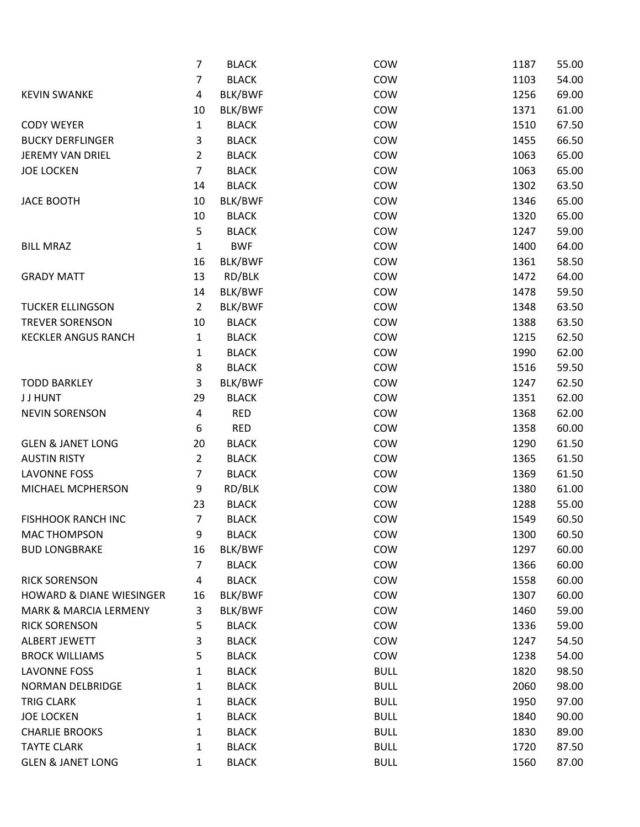|                                     | $\overline{7}$ | <b>BLACK</b> | COW         | 1187 | 55.00 |
|-------------------------------------|----------------|--------------|-------------|------|-------|
|                                     | $\overline{7}$ | <b>BLACK</b> | COW         | 1103 | 54.00 |
| <b>KEVIN SWANKE</b>                 | 4              | BLK/BWF      | COW         | 1256 | 69.00 |
|                                     | 10             | BLK/BWF      | COW         | 1371 | 61.00 |
| <b>CODY WEYER</b>                   | $\mathbf{1}$   | <b>BLACK</b> | COW         | 1510 | 67.50 |
| <b>BUCKY DERFLINGER</b>             | 3              | <b>BLACK</b> | COW         | 1455 | 66.50 |
| <b>JEREMY VAN DRIEL</b>             | $\overline{2}$ | <b>BLACK</b> | COW         | 1063 | 65.00 |
| <b>JOE LOCKEN</b>                   | $\overline{7}$ | <b>BLACK</b> | COW         | 1063 | 65.00 |
|                                     | 14             | <b>BLACK</b> | COW         | 1302 | 63.50 |
| <b>JACE BOOTH</b>                   | 10             | BLK/BWF      | COW         | 1346 | 65.00 |
|                                     | 10             | <b>BLACK</b> | COW         | 1320 | 65.00 |
|                                     | 5              | <b>BLACK</b> | COW         | 1247 | 59.00 |
| <b>BILL MRAZ</b>                    | $\mathbf{1}$   | <b>BWF</b>   | COW         | 1400 | 64.00 |
|                                     | 16             | BLK/BWF      | COW         | 1361 | 58.50 |
| <b>GRADY MATT</b>                   | 13             | RD/BLK       | COW         | 1472 | 64.00 |
|                                     | 14             | BLK/BWF      | COW         | 1478 | 59.50 |
| <b>TUCKER ELLINGSON</b>             | $\overline{2}$ | BLK/BWF      | COW         | 1348 | 63.50 |
| <b>TREVER SORENSON</b>              | 10             | <b>BLACK</b> | COW         | 1388 | 63.50 |
| <b>KECKLER ANGUS RANCH</b>          | $\mathbf{1}$   | <b>BLACK</b> | COW         | 1215 | 62.50 |
|                                     | 1              | <b>BLACK</b> | COW         | 1990 | 62.00 |
|                                     | 8              | <b>BLACK</b> | COW         | 1516 | 59.50 |
| <b>TODD BARKLEY</b>                 | 3              | BLK/BWF      | COW         | 1247 | 62.50 |
| <b>JJHUNT</b>                       | 29             | <b>BLACK</b> | COW         | 1351 | 62.00 |
| <b>NEVIN SORENSON</b>               | 4              | <b>RED</b>   | COW         | 1368 | 62.00 |
|                                     | 6              | <b>RED</b>   | COW         | 1358 | 60.00 |
| <b>GLEN &amp; JANET LONG</b>        | 20             | <b>BLACK</b> | COW         | 1290 | 61.50 |
| <b>AUSTIN RISTY</b>                 | $\overline{2}$ | <b>BLACK</b> | COW         | 1365 | 61.50 |
| <b>LAVONNE FOSS</b>                 | $\overline{7}$ | <b>BLACK</b> | COW         | 1369 | 61.50 |
| MICHAEL MCPHERSON                   | 9              | RD/BLK       | COW         | 1380 | 61.00 |
|                                     | 23             | <b>BLACK</b> | COW         | 1288 | 55.00 |
| <b>FISHHOOK RANCH INC</b>           | $\overline{7}$ | <b>BLACK</b> | COW         | 1549 | 60.50 |
| <b>MAC THOMPSON</b>                 | 9              | <b>BLACK</b> | COW         | 1300 | 60.50 |
| <b>BUD LONGBRAKE</b>                | 16             | BLK/BWF      | COW         | 1297 | 60.00 |
|                                     | $\overline{7}$ | <b>BLACK</b> | COW         | 1366 | 60.00 |
| <b>RICK SORENSON</b>                | 4              | <b>BLACK</b> | COW         | 1558 | 60.00 |
| <b>HOWARD &amp; DIANE WIESINGER</b> | 16             | BLK/BWF      | COW         | 1307 | 60.00 |
| <b>MARK &amp; MARCIA LERMENY</b>    | 3              | BLK/BWF      | COW         | 1460 | 59.00 |
| <b>RICK SORENSON</b>                | 5              | <b>BLACK</b> | COW         | 1336 | 59.00 |
| ALBERT JEWETT                       | 3              | <b>BLACK</b> | COW         | 1247 | 54.50 |
| <b>BROCK WILLIAMS</b>               | 5              | <b>BLACK</b> | COW         | 1238 | 54.00 |
| <b>LAVONNE FOSS</b>                 | $\mathbf{1}$   | <b>BLACK</b> | <b>BULL</b> | 1820 | 98.50 |
| NORMAN DELBRIDGE                    | 1              | <b>BLACK</b> | <b>BULL</b> | 2060 | 98.00 |
| <b>TRIG CLARK</b>                   | 1              | <b>BLACK</b> | <b>BULL</b> | 1950 | 97.00 |
| <b>JOE LOCKEN</b>                   | 1              | <b>BLACK</b> | <b>BULL</b> | 1840 | 90.00 |
| <b>CHARLIE BROOKS</b>               | 1              | <b>BLACK</b> | <b>BULL</b> | 1830 | 89.00 |
| <b>TAYTE CLARK</b>                  | 1              | <b>BLACK</b> | <b>BULL</b> | 1720 | 87.50 |
| <b>GLEN &amp; JANET LONG</b>        | 1              | <b>BLACK</b> | <b>BULL</b> | 1560 | 87.00 |